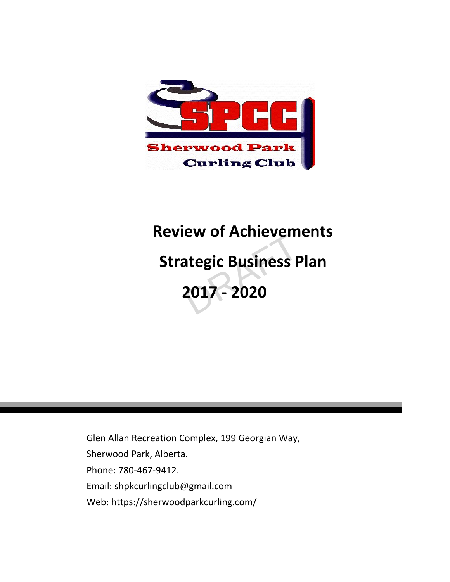

# **Review of Achievements Strategic Business Plan 2017 - 2020** ew or Acmevem<br>ategic Business F<br>2017 - 2020

Glen Allan Recreation Complex, 199 Georgian Way, Sherwood Park, Alberta. Phone: 780-467-9412. Email: [shpkcurlingclub@gmail.com](mailto:shpkcurlingclub@gmail.com) Web: <https://sherwoodparkcurling.com/>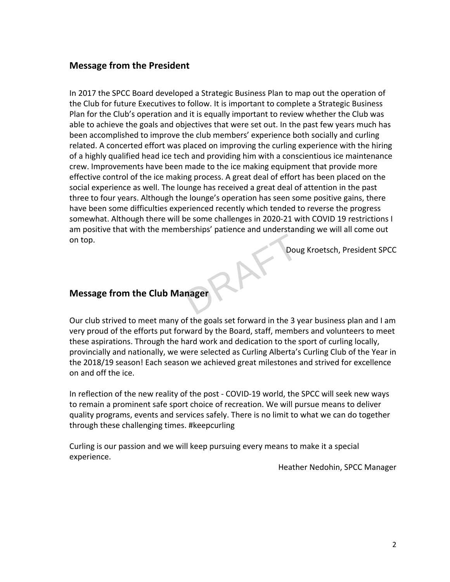# <span id="page-1-0"></span>**Message from the President**

In 2017 the SPCC Board developed a Strategic Business Plan to map out the operation of the Club for future Executives to follow. It is important to complete a Strategic Business Plan for the Club's operation and it is equally important to review whether the Club was able to achieve the goals and objectives that were set out. In the past few years much has been accomplished to improve the club members' experience both socially and curling related. A concerted effort was placed on improving the curling experience with the hiring of a highly qualified head ice tech and providing him with a conscientious ice maintenance crew. Improvements have been made to the ice making equipment that provide more effective control of the ice making process. A great deal of effort has been placed on the social experience as well. The lounge has received a great deal of attention in the past three to four years. Although the lounge's operation has seen some positive gains, there have been some difficulties experienced recently which tended to reverse the progress somewhat. Although there will be some challenges in 2020-21 with COVID 19 restrictions I am positive that with the memberships' patience and understanding we will all come out on top. Dou

Doug Kroetsch, President SPCC

# <span id="page-1-1"></span>**Message from the Club Manager**

Our club strived to meet many of the goals set forward in the 3 year business plan and I am very proud of the efforts put forward by the Board, staff, members and volunteers to meet these aspirations. Through the hard work and dedication to the sport of curling locally, provincially and nationally, we were selected as Curling Alberta's Curling Club of the Year in the 2018/19 season! Each season we achieved great milestones and strived for excellence on and off the ice.

In reflection of the new reality of the post - COVID-19 world, the SPCC will seek new ways to remain a prominent safe sport choice of recreation. We will pursue means to deliver quality programs, events and services safely. There is no limit to what we can do together through these challenging times. #keepcurling

Curling is our passion and we will keep pursuing every means to make it a special experience.

Heather Nedohin, SPCC Manager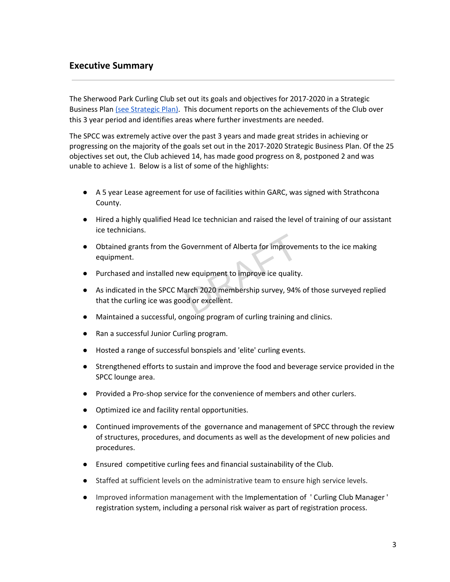# <span id="page-2-0"></span>**Executive Summary**

The Sherwood Park Curling Club set out its goals and objectives for 2017-2020 in a Strategic Business Plan (see [Strategic](https://sherwoodparkcurling.com/images/files/club_files/DRAFT-STRATEGIC-BUSINESS-PLAN-V.8_October-18-2017.pdf) Plan). This document reports on the achievements of the Club over this 3 year period and identifies areas where further investments are needed.

The SPCC was extremely active over the past 3 years and made great strides in achieving or progressing on the majority of the goals set out in the 2017-2020 Strategic Business Plan. Of the 25 objectives set out, the Club achieved 14, has made good progress on 8, postponed 2 and was unable to achieve 1. Below is a list of some of the highlights:

- A 5 year Lease agreement for use of facilities within GARC, was signed with Strathcona County.
- Hired a highly qualified Head Ice technician and raised the level of training of our assistant ice technicians.
- Obtained grants from the Government of Alberta for improvements to the ice making equipment.
- Purchased and installed new equipment to improve ice quality.
- As indicated in the SPCC March 2020 membership survey, 94% of those surveyed replied that the curling ice was good or excellent. Government of Alberta for improver<br>w equipment to improve ice quality<br>arch 2020 membership survey, 94%<br>od or excellent.
- Maintained a successful, ongoing program of curling training and clinics.
- Ran a successful Junior Curling program.
- Hosted a range of successful bonspiels and 'elite' curling events.
- Strengthened efforts to sustain and improve the food and beverage service provided in the SPCC lounge area.
- Provided a Pro-shop service for the convenience of members and other curlers.
- Optimized ice and facility rental opportunities.
- Continued improvements of the governance and management of SPCC through the review of structures, procedures, and documents as well as the development of new policies and procedures.
- Ensured competitive curling fees and financial sustainability of the Club.
- Staffed at sufficient levels on the administrative team to ensure high service levels.
- Improved information management with the Implementation of ' Curling Club Manager ' registration system, including a personal risk waiver as part of registration process.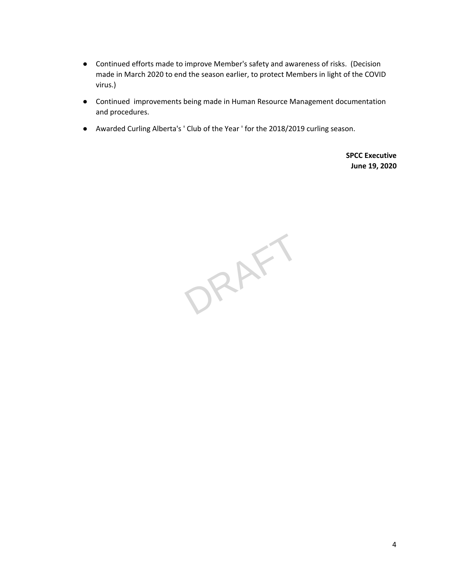- Continued efforts made to improve Member's safety and awareness of risks. (Decision made in March 2020 to end the season earlier, to protect Members in light of the COVID virus.)
- Continued improvements being made in Human Resource Management documentation and procedures.
- Awarded Curling Alberta's ' Club of the Year ' for the 2018/2019 curling season.

**SPCC Executive June 19, 2020**

ORAFT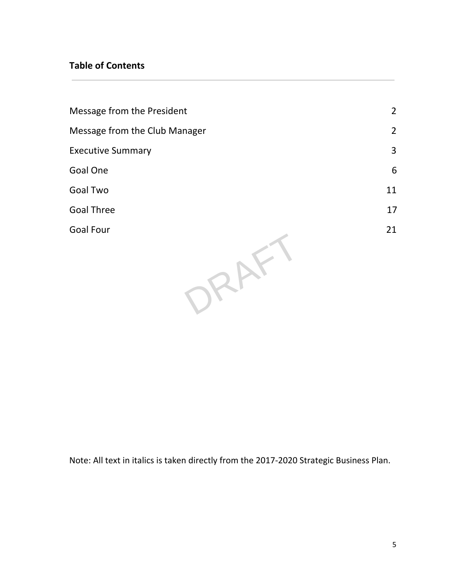# **Table of Contents**

| Message from the President    | $\overline{2}$ |
|-------------------------------|----------------|
| Message from the Club Manager | $\overline{2}$ |
| <b>Executive Summary</b>      | 3              |
| <b>Goal One</b>               | 6              |
| <b>Goal Two</b>               | 11             |
| <b>Goal Three</b>             | 17             |
| <b>Goal Four</b>              | 21             |
|                               |                |

Note: All text in italics is taken directly from the 2017-2020 Strategic Business Plan.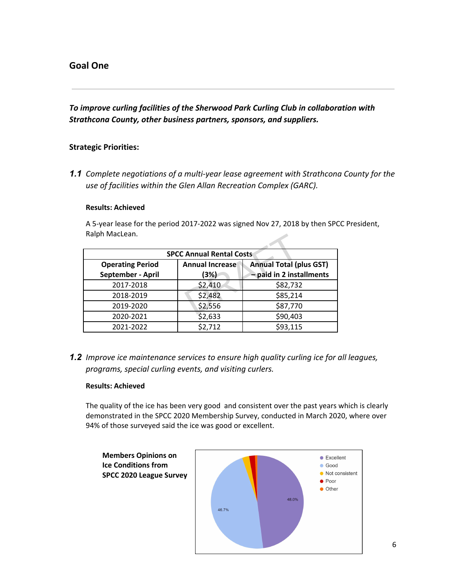# <span id="page-5-0"></span>**Goal One**

*To improve curling facilities of the Sherwood Park Curling Club in collaboration with Strathcona County, other business partners, sponsors, and suppliers.*

# **Strategic Priorities:**

*1.1 Complete negotiations of a multi-year lease agreement with Strathcona County for the use of facilities within the Glen Allan Recreation Complex (GARC).*

#### **Results: Achieved**

A 5-year lease for the period 2017-2022 was signed Nov 27, 2018 by then SPCC President, Ralph MacLean.

| Raiph MacLean.                               |                                 |                                                            |
|----------------------------------------------|---------------------------------|------------------------------------------------------------|
|                                              | <b>SPCC Annual Rental Costs</b> |                                                            |
| <b>Operating Period</b><br>September - April | <b>Annual Increase</b><br>(3%)  | <b>Annual Total (plus GST)</b><br>- paid in 2 installments |
| 2017-2018                                    | \$2,410                         | \$82,732                                                   |
| 2018-2019                                    | \$2,482                         | \$85,214                                                   |
| 2019-2020                                    | \$2,556                         | \$87,770                                                   |
| 2020-2021                                    | \$2,633                         | \$90,403                                                   |
| 2021-2022                                    | \$2,712                         | \$93,115                                                   |

*1.2 Improve ice maintenance services to ensure high quality curling ice for all leagues, programs, special curling events, and visiting curlers.*

# **Results: Achieved**

The quality of the ice has been very good and consistent over the past years which is clearly demonstrated in the SPCC 2020 Membership Survey, conducted in March 2020, where over 94% of those surveyed said the ice was good or excellent.

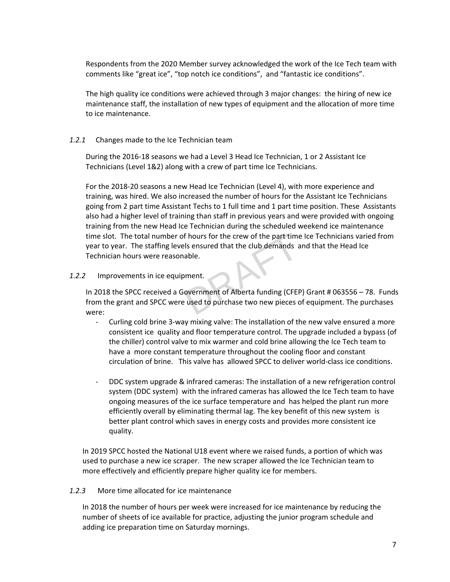Respondents from the 2020 Member survey acknowledged the work of the Ice Tech team with comments like "great ice", "top notch ice conditions", and "fantastic ice conditions".

The high quality ice conditions were achieved through 3 major changes: the hiring of new ice maintenance staff, the installation of new types of equipment and the allocation of more time to ice maintenance.

# *1.2.1* Changes made to the Ice Technician team

During the 2016-18 seasons we had a Level 3 Head Ice Technician, 1 or 2 Assistant Ice Technicians (Level 1&2) along with a crew of part time Ice Technicians.

For the 2018-20 seasons a new Head Ice Technician (Level 4), with more experience and training, was hired. We also increased the number of hours for the Assistant Ice Technicians going from 2 part time Assistant Techs to 1 full time and 1 part time position. These Assistants also had a higher level of training than staff in previous years and were provided with ongoing training from the new Head Ice Technician during the scheduled weekend ice maintenance time slot. The total number of hours for the crew of the part time Ice Technicians varied from year to year. The staffing levels ensured that the club demands and that the Head Ice Technician hours were reasonable. f hours for the crew of the part time<br>Is ensured that the club demands a<br>able.<br>Dramath covernment of Alberta funding (CFEF)<br>Listed to purchase two new pieces of

# *1.2.2* Improvements in ice equipment.

In 2018 the SPCC received a Government of Alberta funding (CFEP) Grant # 063556 – 78. Funds from the grant and SPCC were used to purchase two new pieces of equipment. The purchases were:

- Curling cold brine 3-way mixing valve: The installation of the new valve ensured a more consistent ice quality and floor temperature control. The upgrade included a bypass (of the chiller) control valve to mix warmer and cold brine allowing the Ice Tech team to have a more constant temperature throughout the cooling floor and constant circulation of brine. This valve has allowed SPCC to deliver world-class ice conditions.
- DDC system upgrade & infrared cameras: The installation of a new refrigeration control system (DDC system) with the infrared cameras has allowed the Ice Tech team to have ongoing measures of the ice surface temperature and has helped the plant run more efficiently overall by eliminating thermal lag. The key benefit of this new system is better plant control which saves in energy costs and provides more consistent ice quality.

In 2019 SPCC hosted the National U18 event where we raised funds, a portion of which was used to purchase a new ice scraper. The new scraper allowed the Ice Technician team to more effectively and efficiently prepare higher quality ice for members.

# *1.2.3* More time allocated for ice maintenance

In 2018 the number of hours per week were increased for ice maintenance by reducing the number of sheets of ice available for practice, adjusting the junior program schedule and adding ice preparation time on Saturday mornings.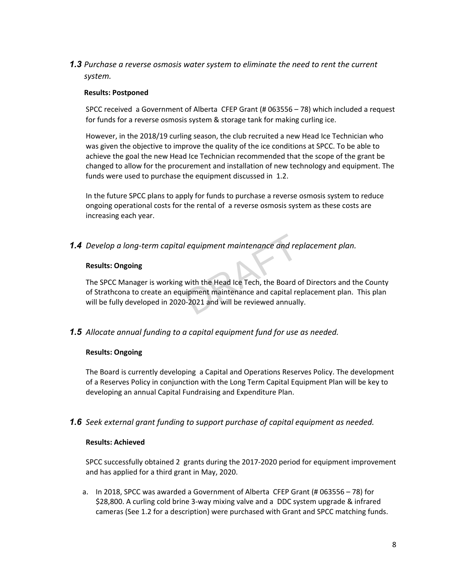*1.3 Purchase a reverse osmosis water system to eliminate the need to rent the current system.*

# **Results: Postponed**

SPCC received a Government of Alberta CFEP Grant (# 063556 – 78) which included a request for funds for a reverse osmosis system & storage tank for making curling ice.

However, in the 2018/19 curling season, the club recruited a new Head Ice Technician who was given the objective to improve the quality of the ice conditions at SPCC. To be able to achieve the goal the new Head Ice Technician recommended that the scope of the grant be changed to allow for the procurement and installation of new technology and equipment. The funds were used to purchase the equipment discussed in 1.2.

In the future SPCC plans to apply for funds to purchase a reverse osmosis system to reduce ongoing operational costs for the rental of a reverse osmosis system as these costs are increasing each year.

*1.4 Develop a long-term capital equipment maintenance and replacement plan.*

#### **Results: Ongoing**

The SPCC Manager is working with the Head Ice Tech, the Board of Directors and the County of Strathcona to create an equipment maintenance and capital replacement plan. This plan will be fully developed in 2020-2021 and will be reviewed annually. l equipment maintenance and rep<br>with the Head Ice Tech, the Board component maintenance and capital reported<br>-2021 and will be reviewed annuall

# *1.5 Allocate annual funding to a capital equipment fund for use as needed.*

# **Results: Ongoing**

The Board is currently developing a Capital and Operations Reserves Policy. The development of a Reserves Policy in conjunction with the Long Term Capital Equipment Plan will be key to developing an annual Capital Fundraising and Expenditure Plan.

# *1.6 Seek external grant funding to support purchase of capital equipment as needed.*

# **Results: Achieved**

SPCC successfully obtained 2 grants during the 2017-2020 period for equipment improvement and has applied for a third grant in May, 2020.

a. In 2018, SPCC was awarded a Government of Alberta CFEP Grant (# 063556 – 78) for \$28,800. A curling cold brine 3-way mixing valve and a DDC system upgrade & infrared cameras (See 1.2 for a description) were purchased with Grant and SPCC matching funds.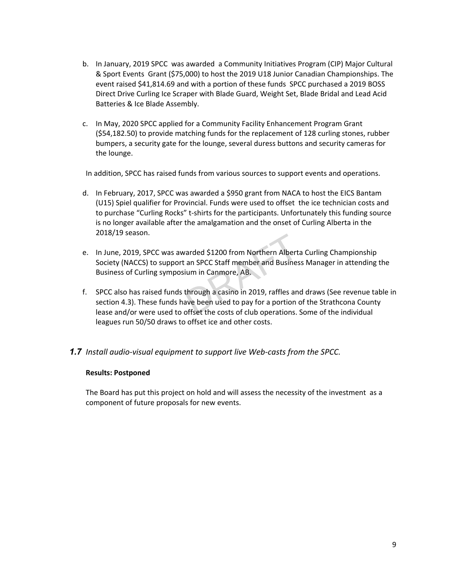- b. In January, 2019 SPCC was awarded a Community Initiatives Program (CIP) Major Cultural & Sport Events Grant (\$75,000) to host the 2019 U18 Junior Canadian Championships. The event raised \$41,814.69 and with a portion of these funds SPCC purchased a 2019 BOSS Direct Drive Curling Ice Scraper with Blade Guard, Weight Set, Blade Bridal and Lead Acid Batteries & Ice Blade Assembly.
- c. In May, 2020 SPCC applied for a Community Facility Enhancement Program Grant (\$54,182.50) to provide matching funds for the replacement of 128 curling stones, rubber bumpers, a security gate for the lounge, several duress buttons and security cameras for the lounge.

In addition, SPCC has raised funds from various sources to support events and operations.

- d. In February, 2017, SPCC was awarded a \$950 grant from NACA to host the EICS Bantam (U15) Spiel qualifier for Provincial. Funds were used to offset the ice technician costs and to purchase "Curling Rocks" t-shirts for the participants. Unfortunately this funding source is no longer available after the amalgamation and the onset of Curling Alberta in the 2018/19 season.
- e. In June, 2019, SPCC was awarded \$1200 from Northern Alberta Curling Championship Society (NACCS) to support an SPCC Staff member and Business Manager in attending the Business of Curling symposium in Canmore, AB. Aranded \$1200 from Northern Albert:<br>
A SPCC Staff member and Busines<br>
ium in Canmore, AB.<br>
through a casino in 2019, raffles and<br>
ave been used to pay for a portion offset the costs of club operations.
- f. SPCC also has raised funds through a casino in 2019, raffles and draws (See revenue table in section 4.3). These funds have been used to pay for a portion of the Strathcona County lease and/or were used to offset the costs of club operations. Some of the individual leagues run 50/50 draws to offset ice and other costs.

# *1.7 Install audio-visual equipment to support live Web-casts from the SPCC.*

#### **Results: Postponed**

The Board has put this project on hold and will assess the necessity of the investment as a component of future proposals for new events.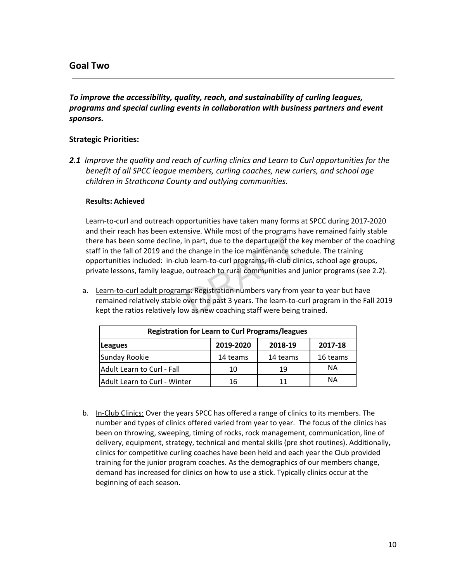# <span id="page-9-0"></span>**Goal Two**

# *To improve the accessibility, quality, reach, and sustainability of curling leagues, programs and special curling events in collaboration with business partners and event sponsors.*

# **Strategic Priorities:**

*2.1 Improve the quality and reach of curling clinics and Learn to Curl opportunities for the benefit of all SPCC league members, curling coaches, new curlers, and school age children in Strathcona County and outlying communities.*

#### **Results: Achieved**

Learn-to-curl and outreach opportunities have taken many forms at SPCC during 2017-2020 and their reach has been extensive. While most of the programs have remained fairly stable there has been some decline, in part, due to the departure of the key member of the coaching staff in the fall of 2019 and the change in the ice maintenance schedule. The training opportunities included: in-club learn-to-curl programs, in-club clinics, school age groups, private lessons, family league, outreach to rural communities and junior programs (see 2.2). In part, due to the departure of the programs<br>in part, due to the departure of the<br>e change in the ice maintenance sch<br>b learn-to-curl programs, in-club cli<br>outreach to rural communities and<br>ns: Registration numbers vary f

a. Learn-to-curl adult programs: Registration numbers vary from year to year but have remained relatively stable over the past 3 years. The learn-to-curl program in the Fall 2019 kept the ratios relatively low as new coaching staff were being trained.

| <b>Registration for Learn to Curl Programs/leagues</b> |           |          |          |  |
|--------------------------------------------------------|-----------|----------|----------|--|
| Leagues                                                | 2019-2020 | 2018-19  | 2017-18  |  |
| Sunday Rookie                                          | 14 teams  | 14 teams | 16 teams |  |
| Adult Learn to Curl - Fall                             | 10        | 19       | ΝA       |  |
| Adult Learn to Curl - Winter                           | 16        | 11       | ΝA       |  |

b. In-Club Clinics: Over the years SPCC has offered a range of clinics to its members. The number and types of clinics offered varied from year to year. The focus of the clinics has been on throwing, sweeping, timing of rocks, rock management, communication, line of delivery, equipment, strategy, technical and mental skills (pre shot routines). Additionally, clinics for competitive curling coaches have been held and each year the Club provided training for the junior program coaches. As the demographics of our members change, demand has increased for clinics on how to use a stick. Typically clinics occur at the beginning of each season.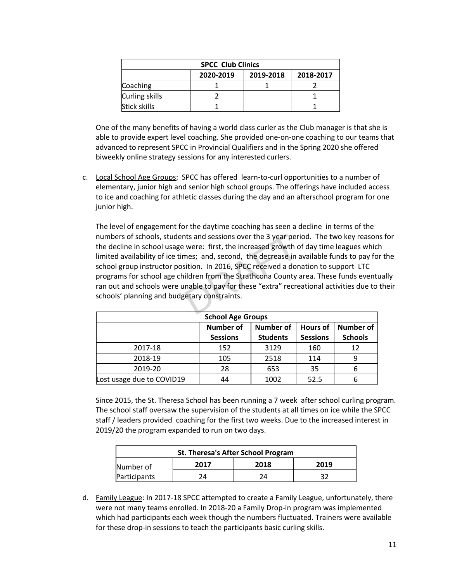| <b>SPCC Club Clinics</b>            |  |  |  |  |
|-------------------------------------|--|--|--|--|
| 2020-2019<br>2019-2018<br>2018-2017 |  |  |  |  |
| Coaching                            |  |  |  |  |
| Curling skills                      |  |  |  |  |
| Stick skills                        |  |  |  |  |

One of the many benefits of having a world class curler as the Club manager is that she is able to provide expert level coaching. She provided one-on-one coaching to our teams that advanced to represent SPCC in Provincial Qualifiers and in the Spring 2020 she offered biweekly online strategy sessions for any interested curlers.

c. Local School Age Groups: SPCC has offered learn-to-curl opportunities to a number of elementary, junior high and senior high school groups. The offerings have included access to ice and coaching for athletic classes during the day and an afterschool program for one junior high.

The level of engagement for the daytime coaching has seen a decline in terms of the numbers of schools, students and sessions over the 3 year period. The two key reasons for the decline in school usage were: first, the increased growth of day time leagues which limited availability of ice times; and, second, the decrease in available funds to pay for the school group instructor position. In 2016, SPCC received a donation to support LTC programs for school age children from the Strathcona County area. These funds eventually ran out and schools were unable to pay for these "extra" recreational activities due to their schools' planning and budgetary constraints. nts and sessions over the 3 year peri<br>
were: first, the increased growth of<br>
mes; and, second, the decrease in a<br>
sition. In 2016, SPCC received a don<br>
ildren from the Strathcona County<br>
inable to pay for these "extra" rec

| <b>School Age Groups</b>                                                                                                                        |     |      |      |    |
|-------------------------------------------------------------------------------------------------------------------------------------------------|-----|------|------|----|
| Number of<br><b>Number of</b><br><b>Number of</b><br><b>Hours of</b><br><b>Students</b><br><b>Schools</b><br><b>Sessions</b><br><b>Sessions</b> |     |      |      |    |
| 2017-18                                                                                                                                         | 152 | 3129 | 160  | 12 |
| 2018-19                                                                                                                                         | 105 | 2518 | 114  | 9  |
| 2019-20                                                                                                                                         | 28  | 653  | 35   | 6  |
| Lost usage due to COVID19                                                                                                                       | 44  | 1002 | 52.5 |    |

Since 2015, the St. Theresa School has been running a 7 week after school curling program. The school staff oversaw the supervision of the students at all times on ice while the SPCC staff / leaders provided coaching for the first two weeks. Due to the increased interest in 2019/20 the program expanded to run on two days.

| St. Theresa's After School Program |  |  |  |  |  |
|------------------------------------|--|--|--|--|--|
| 2018<br>2017<br>2019<br>Number of  |  |  |  |  |  |
| Participants<br>32<br>24<br>24     |  |  |  |  |  |

d. Family League: In 2017-18 SPCC attempted to create a Family League, unfortunately, there were not many teams enrolled. In 2018-20 a Family Drop-in program was implemented which had participants each week though the numbers fluctuated. Trainers were available for these drop-in sessions to teach the participants basic curling skills.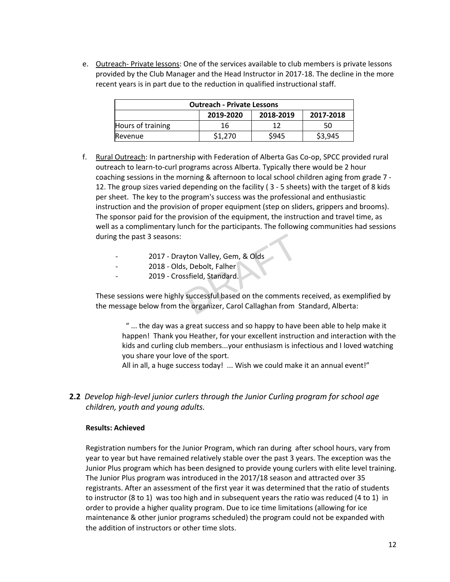e. Outreach- Private lessons: One of the services available to club members is private lessons provided by the Club Manager and the Head Instructor in 2017-18. The decline in the more recent years is in part due to the reduction in qualified instructional staff.

| <b>Outreach - Private Lessons</b>     |    |    |    |  |  |
|---------------------------------------|----|----|----|--|--|
| 2019-2020<br>2018-2019<br>2017-2018   |    |    |    |  |  |
| Hours of training                     | 16 | 17 | 50 |  |  |
| \$1,270<br>S945<br>\$3,945<br>Revenue |    |    |    |  |  |

- f. Rural Outreach: In partnership with Federation of Alberta Gas Co-op, SPCC provided rural outreach to learn-to-curl programs across Alberta. Typically there would be 2 hour coaching sessions in the morning & afternoon to local school children aging from grade 7 - 12. The group sizes varied depending on the facility ( 3 - 5 sheets) with the target of 8 kids per sheet. The key to the program's success was the professional and enthusiastic instruction and the provision of proper equipment (step on sliders, grippers and brooms). The sponsor paid for the provision of the equipment, the instruction and travel time, as well as a complimentary lunch for the participants. The following communities had sessions during the past 3 seasons:
	- 2017 Drayton Valley, Gem, & Olds
	- 2018 Olds, Debolt, Falher
	- 2019 Crossfield, Standard.

These sessions were highly successful based on the comments received, as exemplified by the message below from the organizer, Carol Callaghan from Standard, Alberta: vton Valley, Gem, & Olds<br>
S, Debolt, Falher<br>
ssfield, Standard.<br>
successful based on the comments<br>
ne organizer, Carol Callaghan from S

" ... the day was a great success and so happy to have been able to help make it happen! Thank you Heather, for your excellent instruction and interaction with the kids and curling club members...your enthusiasm is infectious and I loved watching you share your love of the sport.

All in all, a huge success today! ... Wish we could make it an annual event!"

**2.2** *Develop high-level junior curlers through the Junior Curling program for school age children, youth and young adults.*

#### **Results: Achieved**

Registration numbers for the Junior Program, which ran during after school hours, vary from year to year but have remained relatively stable over the past 3 years. The exception was the Junior Plus program which has been designed to provide young curlers with elite level training. The Junior Plus program was introduced in the 2017/18 season and attracted over 35 registrants. After an assessment of the first year it was determined that the ratio of students to instructor (8 to 1) was too high and in subsequent years the ratio was reduced (4 to 1) in order to provide a higher quality program. Due to ice time limitations (allowing for ice maintenance & other junior programs scheduled) the program could not be expanded with the addition of instructors or other time slots.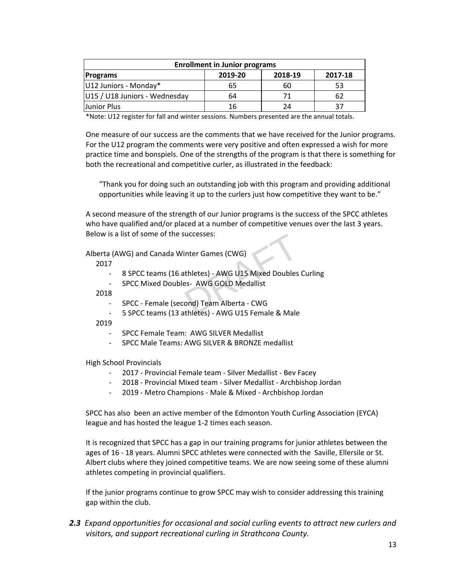| <b>Enrollment in Junior programs</b>             |    |    |    |  |  |
|--------------------------------------------------|----|----|----|--|--|
| 2019-20<br>2018-19<br>2017-18<br><b>Programs</b> |    |    |    |  |  |
| U12 Juniors - Monday*                            | 65 | 60 | 53 |  |  |
| U15 / U18 Juniors - Wednesday                    | 64 | 71 | 62 |  |  |
| Junior Plus                                      | 16 | 24 | 37 |  |  |

\*Note: U12 register for fall and winter sessions. Numbers presented are the annual totals.

One measure of our success are the comments that we have received for the Junior programs. For the U12 program the comments were very positive and often expressed a wish for more practice time and bonspiels. One of the strengths of the program is that there is something for both the recreational and competitive curler, as illustrated in the feedback:

"Thank you for doing such an outstanding job with this program and providing additional opportunities while leaving it up to the curlers just how competitive they want to be."

A second measure of the strength of our Junior programs is the success of the SPCC athletes who have qualified and/or placed at a number of competitive venues over the last 3 years. Below is a list of some of the successes:

Alberta (AWG) and Canada Winter Games (CWG)

2017

- 8 SPCC teams (16 athletes) AWG U15 Mixed Doubles Curling inter Games (CWG)<br>thletes) - AWG U15 Mixed Doubles<br>es- AWG GOLD Medallist<br>ond) Team Alberta - CWG<br>thletes) - AWG U15 Female & Male
- SPCC Mixed Doubles- AWG GOLD Medallist

2018

- SPCC Female (second) Team Alberta CWG
- 5 SPCC teams (13 athletes) AWG U15 Female & Male

2019

- SPCC Female Team: AWG SILVER Medallist
- SPCC Male Teams: AWG SILVER & BRONZE medallist

High School Provincials

- 2017 Provincial Female team Silver Medallist Bev Facey
- 2018 Provincial Mixed team Silver Medallist Archbishop Jordan
- 2019 Metro Champions Male & Mixed Archbishop Jordan

SPCC has also been an active member of the Edmonton Youth Curling Association (EYCA) league and has hosted the league 1-2 times each season.

It is recognized that SPCC has a gap in our training programs for junior athletes between the ages of 16 - 18 years. Alumni SPCC athletes were connected with the Saville, Ellersile or St. Albert clubs where they joined competitive teams. We are now seeing some of these alumni athletes competing in provincial qualifiers.

If the junior programs continue to grow SPCC may wish to consider addressing this training gap within the club.

*2.3 Expand opportunities for occasional and social curling events to attract new curlers and visitors, and support recreational curling in Strathcona County.*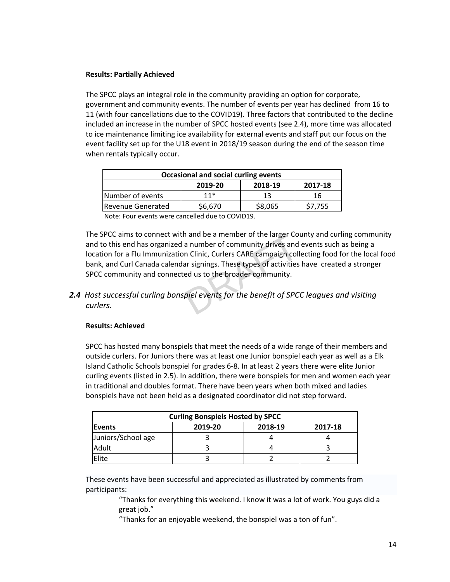# **Results: Partially Achieved**

The SPCC plays an integral role in the community providing an option for corporate, government and community events. The number of events per year has declined from 16 to 11 (with four cancellations due to the COVID19). Three factors that contributed to the decline included an increase in the number of SPCC hosted events (see 2.4), more time was allocated to ice maintenance limiting ice availability for external events and staff put our focus on the event facility set up for the U18 event in 2018/19 season during the end of the season time when rentals typically occur.

| Occasional and social curling events               |       |    |    |  |
|----------------------------------------------------|-------|----|----|--|
| 2018-19<br>2017-18<br>2019-20                      |       |    |    |  |
| Number of events                                   | $11*$ | 13 | 16 |  |
| \$6,670<br>\$8,065<br>\$7,755<br>Revenue Generated |       |    |    |  |

Note: Four events were cancelled due to COVID19.

The SPCC aims to connect with and be a member of the larger County and curling community and to this end has organized a number of community drives and events such as being a location for a Flu Immunization Clinic, Curlers CARE campaign collecting food for the local food bank, and Curl Canada calendar signings. These types of activities have created a stronger SPCC community and connected us to the broader community. n and be a member of the larger Co<br>a number of community drives and<br>n Clinic, Curlers CARE campaign coll<br>ar signings. These types of activities<br>ed us to the broader community.<br>piel events for the benefit of SPC

*2.4 Host successful curling bonspiel events for the benefit of SPCC leagues and visiting curlers.*

# **Results: Achieved**

SPCC has hosted many bonspiels that meet the needs of a wide range of their members and outside curlers. For Juniors there was at least one Junior bonspiel each year as well as a Elk Island Catholic Schools bonspiel for grades 6-8. In at least 2 years there were elite Junior curling events (listed in 2.5). In addition, there were bonspiels for men and women each year in traditional and doubles format. There have been years when both mixed and ladies bonspiels have not been held as a designated coordinator did not step forward.

| <b>Curling Bonspiels Hosted by SPCC</b>        |  |  |  |  |  |
|------------------------------------------------|--|--|--|--|--|
| 2018-19<br>2017-18<br>2019-20<br><b>Events</b> |  |  |  |  |  |
| Juniors/School age                             |  |  |  |  |  |
| Adult                                          |  |  |  |  |  |
| Elite                                          |  |  |  |  |  |

These events have been successful and appreciated as illustrated by comments from participants:

> "Thanks for everything this weekend. I know it was a lot of work. You guys did a great job."

"Thanks for an enjoyable weekend, the bonspiel was a ton of fun".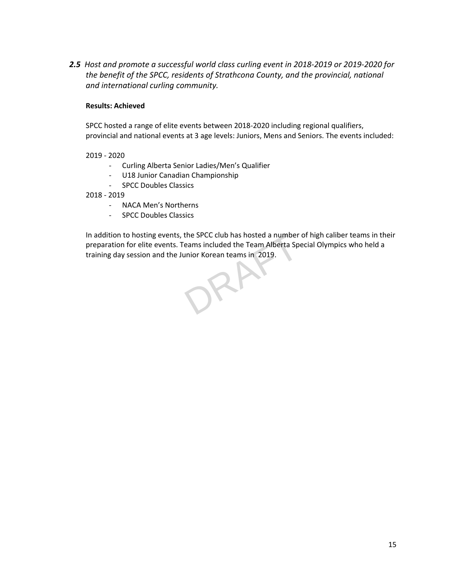*2.5**Host and promote a successful world class curling event in 2018-2019 or 2019-2020 for the benefit of the SPCC, residents of Strathcona County, and the provincial, national and international curling community.*

# **Results: Achieved**

SPCC hosted a range of elite events between 2018-2020 including regional qualifiers, provincial and national events at 3 age levels: Juniors, Mens and Seniors. The events included:

# 2019 - 2020

- Curling Alberta Senior Ladies/Men's Qualifier
- U18 Junior Canadian Championship
- SPCC Doubles Classics

2018 - 2019

- NACA Men's Northerns
- SPCC Doubles Classics

In addition to hosting events, the SPCC club has hosted a number of high caliber teams in their preparation for elite events. Teams included the Team Alberta Special Olympics who held a training day session and the Junior Korean teams in 2019.

JRH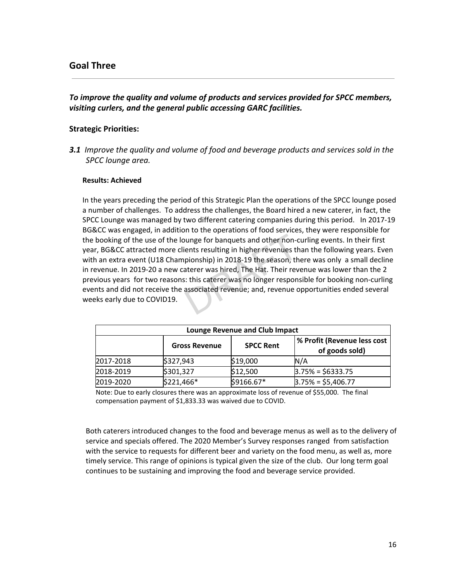# <span id="page-15-0"></span>**Goal Three**

# *To improve the quality and volume of products and services provided for SPCC members, visiting curlers, and the general public accessing GARC facilities.*

# **Strategic Priorities:**

*3.1 Improve the quality and volume of food and beverage products and services sold in the SPCC lounge area.*

#### **Results: Achieved**

In the years preceding the period of this Strategic Plan the operations of the SPCC lounge posed a number of challenges. To address the challenges, the Board hired a new caterer, in fact, the SPCC Lounge was managed by two different catering companies during this period. In 2017-19 BG&CC was engaged, in addition to the operations of food services, they were responsible for the booking of the use of the lounge for banquets and other non-curling events. In their first year, BG&CC attracted more clients resulting in higher revenues than the following years. Even with an extra event (U18 Championship) in 2018-19 the season, there was only a small decline in revenue. In 2019-20 a new caterer was hired, The Hat. Their revenue was lower than the 2 previous years for two reasons: this caterer was no longer responsible for booking non-curling events and did not receive the associated revenue; and, revenue opportunities ended several weeks early due to COVID19. bunge for banquets and other non-cents resulting in higher revenues the<br>pionship) in 2018-19 the season, the<br>aterer was hired, The Hat. Their revenues:<br>this caterer was no longer respons<br>associated revenue; and, revenue of

| <b>Lounge Revenue and Club Impact</b>    |            |            |                                               |  |
|------------------------------------------|------------|------------|-----------------------------------------------|--|
| <b>SPCC Rent</b><br><b>Gross Revenue</b> |            |            | % Profit (Revenue less cost<br>of goods sold) |  |
| 2017-2018                                | \$327,943  | \$19,000   | N/A                                           |  |
| 2018-2019                                | \$301,327  | \$12,500   | $3.75% = $6333.75$                            |  |
| 2019-2020                                | \$221,466* | \$9166.67* | $3.75% = $5,406.77$                           |  |

Note: Due to early closures there was an approximate loss of revenue of \$55,000. The final compensation payment of \$1,833.33 was waived due to COVID.

Both caterers introduced changes to the food and beverage menus as well as to the delivery of service and specials offered. The 2020 Member's Survey responses ranged from satisfaction with the service to requests for different beer and variety on the food menu, as well as, more timely service. This range of opinions is typical given the size of the club. Our long term goal continues to be sustaining and improving the food and beverage service provided.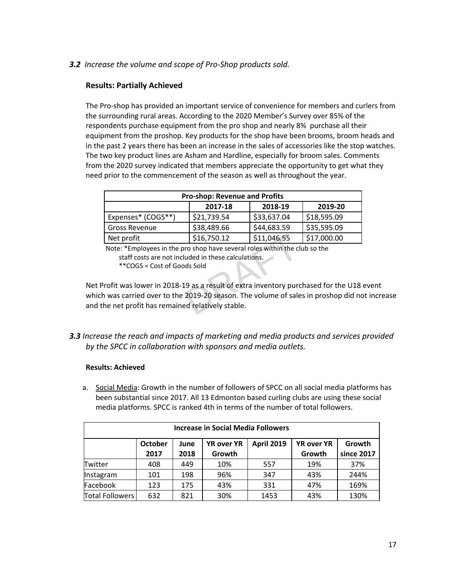# *3.2 Increase the volume and scope of Pro-Shop products sold.*

# **Results: Partially Achieved**

The Pro-shop has provided an important service of convenience for members and curlers from the surrounding rural areas. According to the 2020 Member's Survey over 85% of the respondents purchase equipment from the pro shop and nearly 8% purchase all their equipment from the proshop. Key products for the shop have been brooms, broom heads and in the past 2 years there has been an increase in the sales of accessories like the stop watches. The two key product lines are Asham and Hardline, especially for broom sales. Comments from the 2020 survey indicated that members appreciate the opportunity to get what they need prior to the commencement of the season as well as throughout the year.

| <b>Pro-shop: Revenue and Profits</b> |             |             |             |  |
|--------------------------------------|-------------|-------------|-------------|--|
| 2018-19<br>2019-20<br>2017-18        |             |             |             |  |
| Expenses* (COGS**)                   | \$21,739.54 | \$33,637.04 | \$18,595.09 |  |
| <b>Gross Revenue</b>                 | \$38,489.66 | \$44,683.59 | \$35,595.09 |  |
| Net profit                           | \$16,750.12 | \$11,046.55 | \$17,000.00 |  |

Note: \*Employees in the pro shop have several roles within the club so the staff costs are not included in these calculations.

\*\*COGS = Cost of Goods Sold

Net Profit was lower in 2018-19 as a result of extra inventory purchased for the U18 event which was carried over to the 2019-20 season. The volume of sales in proshop did not increase and the net profit has remained relatively stable.  $\begin{array}{|l|l|}\n\hline\n $16,750.12 & $11,046.55\n\hline\n\end{array}$  Fro shop have several roles within the cluded in these calculations.<br>
In these calculations.<br>
In these calculations.<br>
In the solid solid same of sales are result of extra

*3.3 Increase the reach and impacts of marketing and media products and services provided by the SPCC in collaboration with sponsors and media outlets.*

# **Results: Achieved**

a. Social Media: Growth in the number of followers of SPCC on all social media platforms has been substantial since 2017. All 13 Edmonton based curling clubs are using these social media platforms. SPCC is ranked 4th in terms of the number of total followers.

| <b>Increase in Social Media Followers</b> |                |      |                   |                   |                   |            |  |  |  |
|-------------------------------------------|----------------|------|-------------------|-------------------|-------------------|------------|--|--|--|
|                                           | <b>October</b> | June | <b>YR over YR</b> | <b>April 2019</b> | <b>YR over YR</b> | Growth     |  |  |  |
|                                           | 2017           | 2018 | Growth            |                   | Growth            | since 2017 |  |  |  |
| <b>Twitter</b>                            | 408            | 449  | 10%               | 557               | 19%               | 37%        |  |  |  |
| Instagram                                 | 101            | 198  | 96%               | 347               | 43%               | 244%       |  |  |  |
| Facebook                                  | 123            | 175  | 43%               | 331               | 47%               | 169%       |  |  |  |
| <b>Total Followers</b>                    | 632            | 821  | 30%               | 1453              | 43%               | 130%       |  |  |  |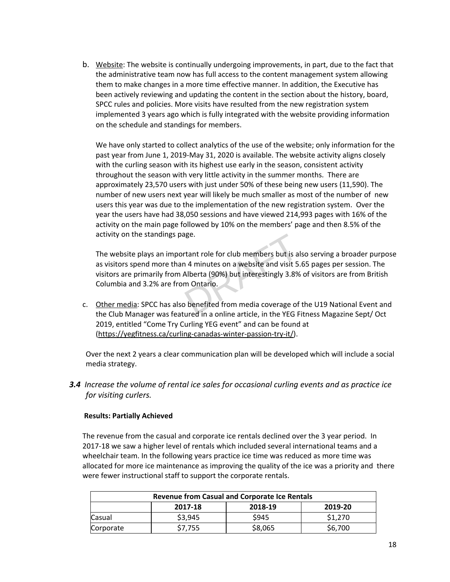b. Website: The website is continually undergoing improvements, in part, due to the fact that the administrative team now has full access to the content management system allowing them to make changes in a more time effective manner. In addition, the Executive has been actively reviewing and updating the content in the section about the history, board, SPCC rules and policies. More visits have resulted from the new registration system implemented 3 years ago which is fully integrated with the website providing information on the schedule and standings for members.

We have only started to collect analytics of the use of the website; only information for the past year from June 1, 2019-May 31, 2020 is available. The website activity aligns closely with the curling season with its highest use early in the season, consistent activity throughout the season with very little activity in the summer months. There are approximately 23,570 users with just under 50% of these being new users (11,590). The number of new users next year will likely be much smaller as most of the number of new users this year was due to the implementation of the new registration system. Over the year the users have had 38,050 sessions and have viewed 214,993 pages with 16% of the activity on the main page followed by 10% on the members' page and then 8.5% of the activity on the standings page.

The website plays an important role for club members but is also serving a broader purpose as visitors spend more than 4 minutes on a website and visit 5.65 pages per session. The visitors are primarily from Alberta (90%) but interestingly 3.8% of visitors are from British Columbia and 3.2% are from Ontario. age.<br>
14 minutes on a website and visit 5.<br>
14 minutes on a website and visit 5.<br>
Alberta (90%) but interestingly 3.8%<br>
20 m Ontario.<br>
20 benefited from media coverage of

c. Other media: SPCC has also benefited from media coverage of the U19 National Event and the Club Manager was featured in a online article, in the YEG Fitness Magazine Sept/ Oct 2019, entitled "Come Try Curling YEG event" and can be found at ([https://yegfitness.ca/curling-canadas-winter-passion-try-it/\)](https://yegfitness.ca/curling-canadas-winter-passion-try-it/).

Over the next 2 years a clear communication plan will be developed which will include a social media strategy.

*3.4 Increase the volume of rental ice sales for occasional curling events and as practice ice for visiting curlers.*

# **Results: Partially Achieved**

The revenue from the casual and corporate ice rentals declined over the 3 year period. In 2017-18 we saw a higher level of rentals which included several international teams and a wheelchair team. In the following years practice ice time was reduced as more time was allocated for more ice maintenance as improving the quality of the ice was a priority and there were fewer instructional staff to support the corporate rentals.

| <b>Revenue from Casual and Corporate Ice Rentals</b> |         |         |         |  |  |  |
|------------------------------------------------------|---------|---------|---------|--|--|--|
|                                                      | 2017-18 | 2018-19 | 2019-20 |  |  |  |
| Casual                                               | \$3,945 | \$945   | \$1,270 |  |  |  |
| Corporate                                            | \$7.755 | \$8,065 | \$6,700 |  |  |  |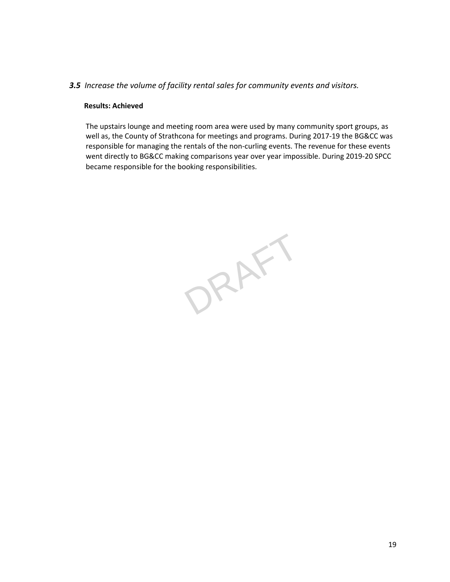# *3.5 Increase the volume of facility rental sales for community events and visitors.*

#### **Results: Achieved**

The upstairs lounge and meeting room area were used by many community sport groups, as well as, the County of Strathcona for meetings and programs. During 2017-19 the BG&CC was responsible for managing the rentals of the non-curling events. The revenue for these events went directly to BG&CC making comparisons year over year impossible. During 2019-20 SPCC became responsible for the booking responsibilities.

ORAFT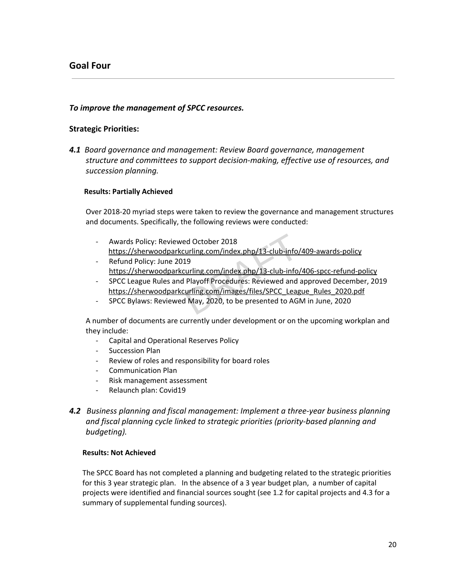# <span id="page-19-0"></span>**Goal Four**

# *To improve the management of SPCC resources.*

#### **Strategic Priorities:**

*4.1 Board governance and management: Review Board governance, management structure and committees to support decision-making, effective use of resources, and succession planning.*

#### **Results: Partially Achieved**

Over 2018-20 myriad steps were taken to review the governance and management structures and documents. Specifically, the following reviews were conducted:

- Awards Policy: Reviewed October 2018 <https://sherwoodparkcurling.com/index.php/13-club-info/409-awards-policy> ed October 2018<br>
<u>curling.com/index.php/13-club-info/</u><br>
19<br>
<u>curling.com/index.php/13-club-info/</u><br>
Playoff Procedures: Reviewed and<br>
<u>curling.com/images/files/SPCC\_Leag</u><br>
I May, 2020, to be presented to AGI
- Refund Policy: June 2019 <https://sherwoodparkcurling.com/index.php/13-club-info/406-spcc-refund-policy>
- SPCC League Rules and Playoff Procedures: Reviewed and approved December, 2019 [https://sherwoodparkcurling.com/images/files/SPCC\\_League\\_Rules\\_2020.pdf](https://sherwoodparkcurling.com/images/files/SPCC_League_Rules_2020.pdf)
- SPCC Bylaws: Reviewed May, 2020, to be presented to AGM in June, 2020

A number of documents are currently under development or on the upcoming workplan and they include:

- Capital and Operational Reserves Policy
- Succession Plan
- Review of roles and responsibility for board roles
- Communication Plan
- Risk management assessment
- Relaunch plan: Covid19
- *4.2**Business planning and fiscal management: Implement a three-year business planning and fiscal planning cycle linked to strategic priorities (priority-based planning and budgeting).*

#### **Results: Not Achieved**

The SPCC Board has not completed a planning and budgeting related to the strategic priorities for this 3 year strategic plan. In the absence of a 3 year budget plan, a number of capital projects were identified and financial sources sought (see 1.2 for capital projects and 4.3 for a summary of supplemental funding sources).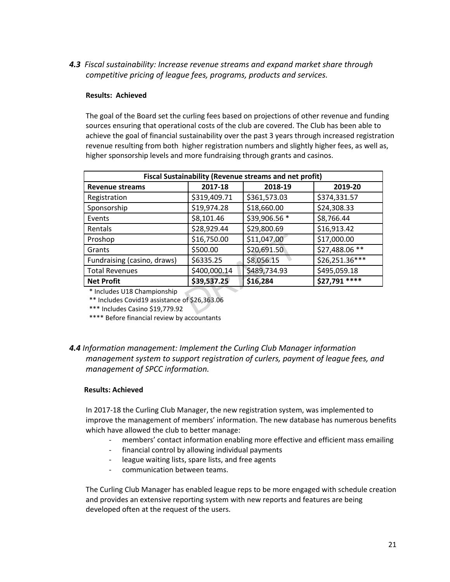*4.3**Fiscal sustainability: Increase revenue streams and expand market share through competitive pricing of league fees, programs, products and services.*

# **Results: Achieved**

The goal of the Board set the curling fees based on projections of other revenue and funding sources ensuring that operational costs of the club are covered. The Club has been able to achieve the goal of financial sustainability over the past 3 years through increased registration revenue resulting from both higher registration numbers and slightly higher fees, as well as, higher sponsorship levels and more fundraising through grants and casinos.

| Fiscal Sustainability (Revenue streams and net profit)                                                          |              |               |                |  |  |  |  |  |
|-----------------------------------------------------------------------------------------------------------------|--------------|---------------|----------------|--|--|--|--|--|
| <b>Revenue streams</b>                                                                                          | 2017-18      | 2018-19       | 2019-20        |  |  |  |  |  |
| Registration                                                                                                    | \$319,409.71 | \$361,573.03  | \$374,331.57   |  |  |  |  |  |
| Sponsorship                                                                                                     | \$19,974.28  | \$18,660.00   | \$24,308.33    |  |  |  |  |  |
| Events                                                                                                          | \$8,101.46   | \$39,906.56 * | \$8,766.44     |  |  |  |  |  |
| Rentals                                                                                                         | \$28,929.44  | \$29,800.69   | \$16,913.42    |  |  |  |  |  |
| Proshop                                                                                                         | \$16,750.00  | \$11,047.00   | \$17,000.00    |  |  |  |  |  |
| Grants                                                                                                          | \$500.00     | \$20,691.50   | \$27,488.06 ** |  |  |  |  |  |
| Fundraising (casino, draws)                                                                                     | \$6335.25    | \$8,056.15    | \$26,251.36*** |  |  |  |  |  |
| <b>Total Revenues</b>                                                                                           | \$400,000.14 | \$489,734.93  | \$495,059.18   |  |  |  |  |  |
| <b>Net Profit</b>                                                                                               | \$39,537.25  | \$16,284      | \$27,791 ****  |  |  |  |  |  |
| * Includes U18 Championship<br>** Includes Covid19 assistance of \$26,363.06<br>*** Includes Casino \$19,779.92 |              |               |                |  |  |  |  |  |

\*\*\*\* Before financial review by accountants

# *4.4 Information management: Implement the Curling Club Manager information management system to support registration of curlers, payment of league fees, and management of SPCC information.*

# **Results: Achieved**

In 2017-18 the Curling Club Manager, the new registration system, was implemented to improve the management of members' information. The new database has numerous benefits which have allowed the club to better manage:

- members' contact information enabling more effective and efficient mass emailing
- financial control by allowing individual payments
- league waiting lists, spare lists, and free agents
- communication between teams.

The Curling Club Manager has enabled league reps to be more engaged with schedule creation and provides an extensive reporting system with new reports and features are being developed often at the request of the users.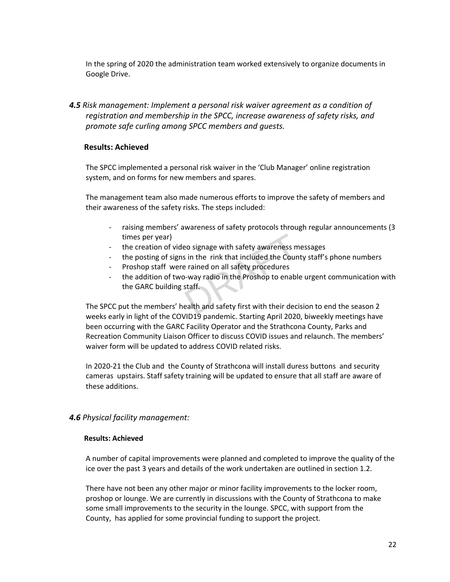In the spring of 2020 the administration team worked extensively to organize documents in Google Drive.

*4.5 Risk management: Implement a personal risk waiver agreement as a condition of registration and membership in the SPCC, increase awareness of safety risks, and promote safe curling among SPCC members and guests.*

# **Results: Achieved**

The SPCC implemented a personal risk waiver in the 'Club Manager' online registration system, and on forms for new members and spares.

The management team also made numerous efforts to improve the safety of members and their awareness of the safety risks. The steps included:

- raising members' awareness of safety protocols through regular announcements (3 times per year)
- the creation of video signage with safety awareness messages
- the posting of signs in the rink that included the County staff's phone numbers
- Proshop staff were rained on all safety procedures
- the addition of two-way radio in the Proshop to enable urgent communication with the GARC building staff. The SPCC put the members' health and safety first with their decision to end the season 2<br>
The SPCC put the members' health and safety first with their decision to end the season 2<br>
The SPCC put the members' health and saf

weeks early in light of the COVID19 pandemic. Starting April 2020, biweekly meetings have been occurring with the GARC Facility Operator and the Strathcona County, Parks and Recreation Community Liaison Officer to discuss COVID issues and relaunch. The members' waiver form will be updated to address COVID related risks.

In 2020-21 the Club and the County of Strathcona will install duress buttons and security cameras upstairs. Staff safety training will be updated to ensure that all staff are aware of these additions.

# *4.6 Physical facility management:*

#### **Results: Achieved**

A number of capital improvements were planned and completed to improve the quality of the ice over the past 3 years and details of the work undertaken are outlined in section 1.2.

There have not been any other major or minor facility improvements to the locker room, proshop or lounge. We are currently in discussions with the County of Strathcona to make some small improvements to the security in the lounge. SPCC, with support from the County, has applied for some provincial funding to support the project.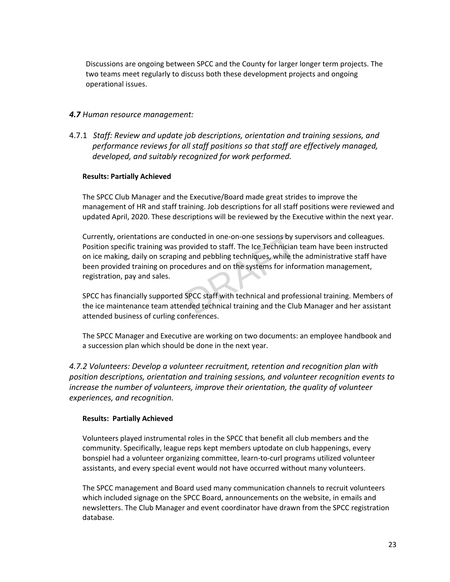Discussions are ongoing between SPCC and the County for larger longer term projects. The two teams meet regularly to discuss both these development projects and ongoing operational issues.

# *4.7 Human resource management:*

4.7.1 *Staff: Review and update job descriptions, orientation and training sessions, and performance reviews for all staff positions so that staff are effectively managed, developed, and suitably recognized for work performed.*

# **Results: Partially Achieved**

The SPCC Club Manager and the Executive/Board made great strides to improve the management of HR and staff training. Job descriptions for all staff positions were reviewed and updated April, 2020. These descriptions will be reviewed by the Executive within the next year.

Currently, orientations are conducted in one-on-one sessions by supervisors and colleagues. Position specific training was provided to staff. The Ice Technician team have been instructed on ice making, daily on scraping and pebbling techniques, while the administrative staff have been provided training on procedures and on the systems for information management, registration, pay and sales. ducted in one-on-one sessions by su<br>
rovided to staff. The Ice Technician<br>
g and pebbling techniques, while the<br>
redures and on the systems for infor<br>
SPCC staff with technical and profe-<br>
nded technical training and the C

SPCC has financially supported SPCC staff with technical and professional training. Members of the ice maintenance team attended technical training and the Club Manager and her assistant attended business of curling conferences.

The SPCC Manager and Executive are working on two documents: an employee handbook and a succession plan which should be done in the next year.

*4.7.2 Volunteers: Develop a volunteer recruitment, retention and recognition plan with position descriptions, orientation and training sessions, and volunteer recognition events to increase the number of volunteers, improve their orientation, the quality of volunteer experiences, and recognition.*

# **Results: Partially Achieved**

Volunteers played instrumental roles in the SPCC that benefit all club members and the community. Specifically, league reps kept members uptodate on club happenings, every bonspiel had a volunteer organizing committee, learn-to-curl programs utilized volunteer assistants, and every special event would not have occurred without many volunteers.

The SPCC management and Board used many communication channels to recruit volunteers which included signage on the SPCC Board, announcements on the website, in emails and newsletters. The Club Manager and event coordinator have drawn from the SPCC registration database.